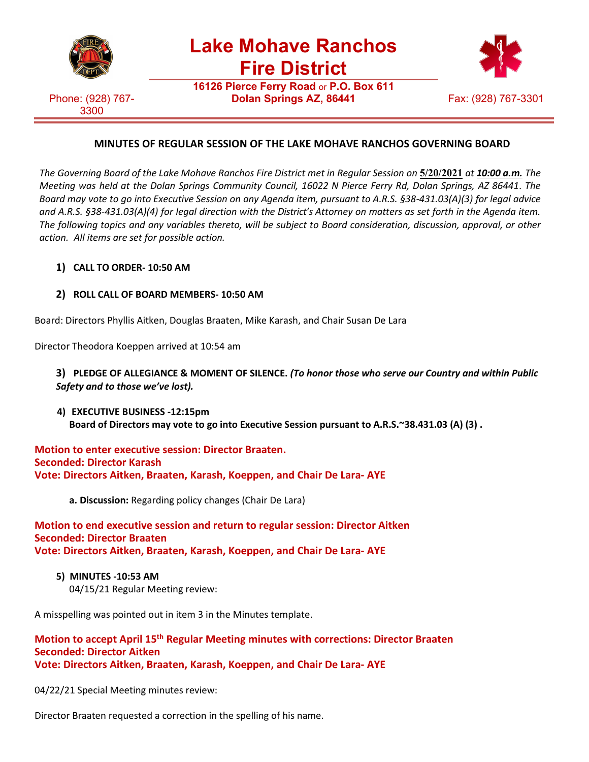

**Lake Mohave Ranchos Fire District**

Phone: (928) 767- 3300

**16126 Pierce Ferry Road** or **P.O. Box 611 Dolan Springs AZ, 86441** Fax: (928) 767-3301



# **MINUTES OF REGULAR SESSION OF THE LAKE MOHAVE RANCHOS GOVERNING BOARD**

The Governing Board of the Lake Mohave Ranchos Fire District met in Regular Session on 5/20/2021 at 10:00 a.m. The *Meeting was held at the Dolan Springs Community Council, 16022 N Pierce Ferry Rd, Dolan Springs, AZ 86441*. *The Board may vote to go into Executive Session on any Agenda item, pursuant to A.R.S. §38-431.03(A)(3) for legal advice and A.R.S. §38-431.03(A)(4) for legal direction with the District's Attorney on matters as set forth in the Agenda item. The following topics and any variables thereto, will be subject to Board consideration, discussion, approval, or other action. All items are set for possible action.*

### **1) CALL TO ORDER- 10:50 AM**

### **2) ROLL CALL OF BOARD MEMBERS- 10:50 AM**

Board: Directors Phyllis Aitken, Douglas Braaten, Mike Karash, and Chair Susan De Lara

Director Theodora Koeppen arrived at 10:54 am

### **3) PLEDGE OF ALLEGIANCE & MOMENT OF SILENCE.** *(To honor those who serve our Country and within Public Safety and to those we've lost).*

**4) EXECUTIVE BUSINESS -12:15pm Board of Directors may vote to go into Executive Session pursuant to A.R.S.~38.431.03 (A) (3) .**

### **Motion to enter executive session: Director Braaten. Seconded: Director Karash Vote: Directors Aitken, Braaten, Karash, Koeppen, and Chair De Lara- AYE**

**a. Discussion:** Regarding policy changes (Chair De Lara)

#### **Motion to end executive session and return to regular session: Director Aitken Seconded: Director Braaten Vote: Directors Aitken, Braaten, Karash, Koeppen, and Chair De Lara- AYE**

- **5) MINUTES -10:53 AM**
	- 04/15/21 Regular Meeting review:

A misspelling was pointed out in item 3 in the Minutes template.

#### **Motion to accept April 15th Regular Meeting minutes with corrections: Director Braaten Seconded: Director Aitken Vote: Directors Aitken, Braaten, Karash, Koeppen, and Chair De Lara- AYE**

04/22/21 Special Meeting minutes review:

Director Braaten requested a correction in the spelling of his name.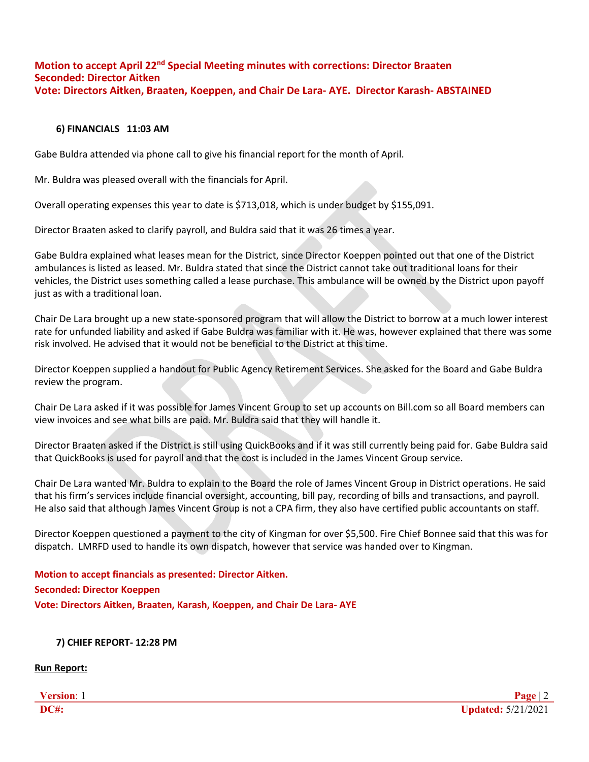# **Motion to accept April 22nd Special Meeting minutes with corrections: Director Braaten Seconded: Director Aitken Vote: Directors Aitken, Braaten, Koeppen, and Chair De Lara- AYE. Director Karash- ABSTAINED**

#### **6) FINANCIALS 11:03 AM**

Gabe Buldra attended via phone call to give his financial report for the month of April.

Mr. Buldra was pleased overall with the financials for April.

Overall operating expenses this year to date is \$713,018, which is under budget by \$155,091.

Director Braaten asked to clarify payroll, and Buldra said that it was 26 times a year.

Gabe Buldra explained what leases mean for the District, since Director Koeppen pointed out that one of the District ambulances is listed as leased. Mr. Buldra stated that since the District cannot take out traditional loans for their vehicles, the District uses something called a lease purchase. This ambulance will be owned by the District upon payoff just as with a traditional loan.

Chair De Lara brought up a new state-sponsored program that will allow the District to borrow at a much lower interest rate for unfunded liability and asked if Gabe Buldra was familiar with it. He was, however explained that there was some risk involved. He advised that it would not be beneficial to the District at this time.

Director Koeppen supplied a handout for Public Agency Retirement Services. She asked for the Board and Gabe Buldra review the program.

Chair De Lara asked if it was possible for James Vincent Group to set up accounts on Bill.com so all Board members can view invoices and see what bills are paid. Mr. Buldra said that they will handle it.

Director Braaten asked if the District is still using QuickBooks and if it was still currently being paid for. Gabe Buldra said that QuickBooks is used for payroll and that the cost is included in the James Vincent Group service.

Chair De Lara wanted Mr. Buldra to explain to the Board the role of James Vincent Group in District operations. He said that his firm's services include financial oversight, accounting, bill pay, recording of bills and transactions, and payroll. He also said that although James Vincent Group is not a CPA firm, they also have certified public accountants on staff.

Director Koeppen questioned a payment to the city of Kingman for over \$5,500. Fire Chief Bonnee said that this was for dispatch. LMRFD used to handle its own dispatch, however that service was handed over to Kingman.

**Motion to accept financials as presented: Director Aitken. Seconded: Director Koeppen Vote: Directors Aitken, Braaten, Karash, Koeppen, and Chair De Lara- AYE**

#### **7) CHIEF REPORT- 12:28 PM**

**Run Report:**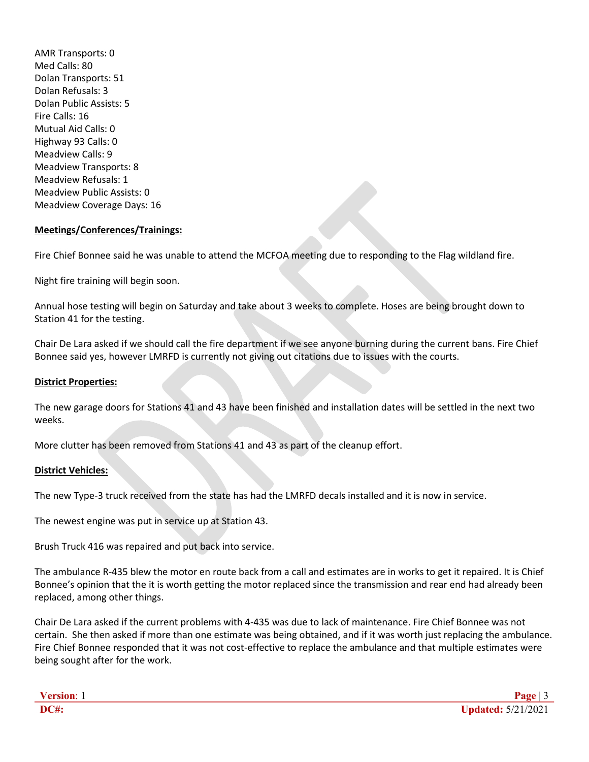AMR Transports: 0 Med Calls: 80 Dolan Transports: 51 Dolan Refusals: 3 Dolan Public Assists: 5 Fire Calls: 16 Mutual Aid Calls: 0 Highway 93 Calls: 0 Meadview Calls: 9 Meadview Transports: 8 Meadview Refusals: 1 Meadview Public Assists: 0 Meadview Coverage Days: 16

#### **Meetings/Conferences/Trainings:**

Fire Chief Bonnee said he was unable to attend the MCFOA meeting due to responding to the Flag wildland fire.

Night fire training will begin soon.

Annual hose testing will begin on Saturday and take about 3 weeks to complete. Hoses are being brought down to Station 41 for the testing.

Chair De Lara asked if we should call the fire department if we see anyone burning during the current bans. Fire Chief Bonnee said yes, however LMRFD is currently not giving out citations due to issues with the courts.

#### **District Properties:**

The new garage doors for Stations 41 and 43 have been finished and installation dates will be settled in the next two weeks.

More clutter has been removed from Stations 41 and 43 as part of the cleanup effort.

#### **District Vehicles:**

The new Type-3 truck received from the state has had the LMRFD decals installed and it is now in service.

The newest engine was put in service up at Station 43.

Brush Truck 416 was repaired and put back into service.

The ambulance R-435 blew the motor en route back from a call and estimates are in works to get it repaired. It is Chief Bonnee's opinion that the it is worth getting the motor replaced since the transmission and rear end had already been replaced, among other things.

Chair De Lara asked if the current problems with 4-435 was due to lack of maintenance. Fire Chief Bonnee was not certain. She then asked if more than one estimate was being obtained, and if it was worth just replacing the ambulance. Fire Chief Bonnee responded that it was not cost-effective to replace the ambulance and that multiple estimates were being sought after for the work.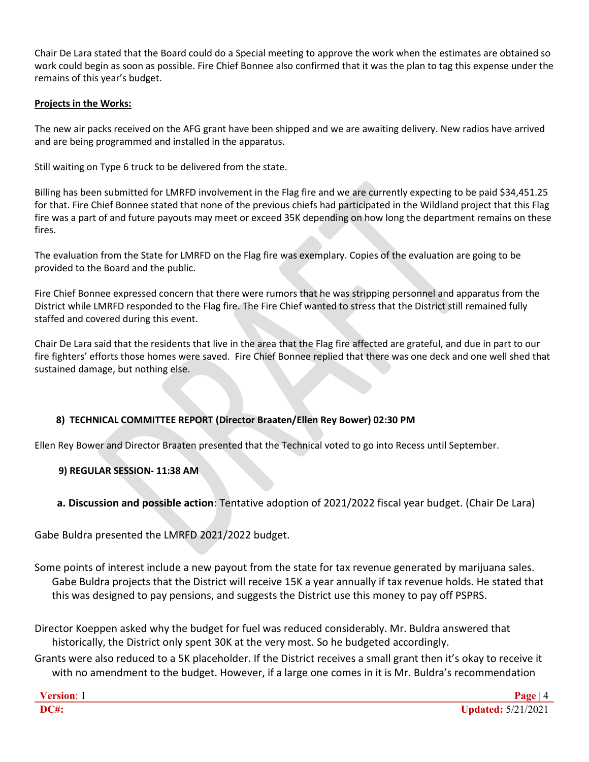Chair De Lara stated that the Board could do a Special meeting to approve the work when the estimates are obtained so work could begin as soon as possible. Fire Chief Bonnee also confirmed that it was the plan to tag this expense under the remains of this year's budget.

#### **Projects in the Works:**

The new air packs received on the AFG grant have been shipped and we are awaiting delivery. New radios have arrived and are being programmed and installed in the apparatus.

Still waiting on Type 6 truck to be delivered from the state.

Billing has been submitted for LMRFD involvement in the Flag fire and we are currently expecting to be paid \$34,451.25 for that. Fire Chief Bonnee stated that none of the previous chiefs had participated in the Wildland project that this Flag fire was a part of and future payouts may meet or exceed 35K depending on how long the department remains on these fires.

The evaluation from the State for LMRFD on the Flag fire was exemplary. Copies of the evaluation are going to be provided to the Board and the public.

Fire Chief Bonnee expressed concern that there were rumors that he was stripping personnel and apparatus from the District while LMRFD responded to the Flag fire. The Fire Chief wanted to stress that the District still remained fully staffed and covered during this event.

Chair De Lara said that the residents that live in the area that the Flag fire affected are grateful, and due in part to our fire fighters' efforts those homes were saved. Fire Chief Bonnee replied that there was one deck and one well shed that sustained damage, but nothing else.

### **8) TECHNICAL COMMITTEE REPORT (Director Braaten/Ellen Rey Bower) 02:30 PM**

Ellen Rey Bower and Director Braaten presented that the Technical voted to go into Recess until September.

### **9) REGULAR SESSION- 11:38 AM**

### **a. Discussion and possible action**: Tentative adoption of 2021/2022 fiscal year budget. (Chair De Lara)

Gabe Buldra presented the LMRFD 2021/2022 budget.

Some points of interest include a new payout from the state for tax revenue generated by marijuana sales. Gabe Buldra projects that the District will receive 15K a year annually if tax revenue holds. He stated that this was designed to pay pensions, and suggests the District use this money to pay off PSPRS.

Director Koeppen asked why the budget for fuel was reduced considerably. Mr. Buldra answered that historically, the District only spent 30K at the very most. So he budgeted accordingly.

Grants were also reduced to a 5K placeholder. If the District receives a small grant then it's okay to receive it with no amendment to the budget. However, if a large one comes in it is Mr. Buldra's recommendation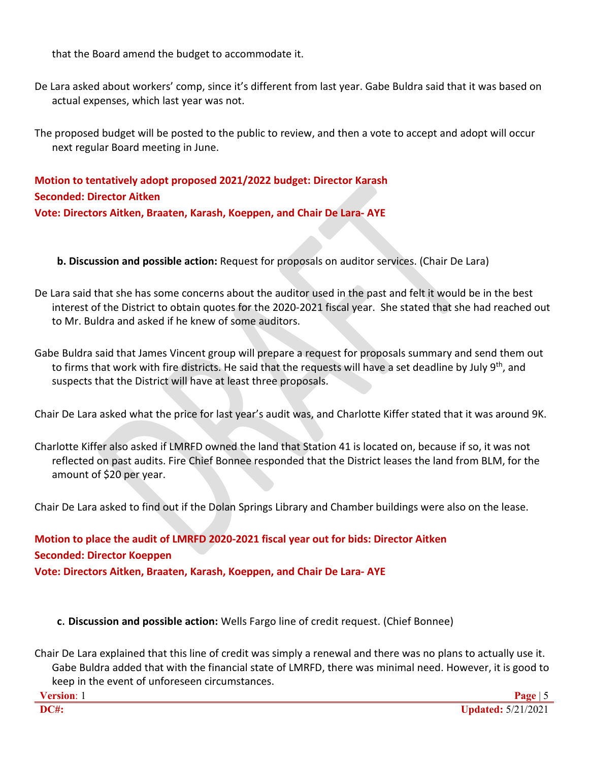that the Board amend the budget to accommodate it.

De Lara asked about workers' comp, since it's different from last year. Gabe Buldra said that it was based on actual expenses, which last year was not.

The proposed budget will be posted to the public to review, and then a vote to accept and adopt will occur next regular Board meeting in June.

**Motion to tentatively adopt proposed 2021/2022 budget: Director Karash Seconded: Director Aitken Vote: Directors Aitken, Braaten, Karash, Koeppen, and Chair De Lara- AYE**

**b. Discussion and possible action:** Request for proposals on auditor services. (Chair De Lara)

De Lara said that she has some concerns about the auditor used in the past and felt it would be in the best interest of the District to obtain quotes for the 2020-2021 fiscal year. She stated that she had reached out to Mr. Buldra and asked if he knew of some auditors.

Gabe Buldra said that James Vincent group will prepare a request for proposals summary and send them out to firms that work with fire districts. He said that the requests will have a set deadline by July  $9^{th}$ , and suspects that the District will have at least three proposals.

Chair De Lara asked what the price for last year's audit was, and Charlotte Kiffer stated that it was around 9K.

Charlotte Kiffer also asked if LMRFD owned the land that Station 41 is located on, because if so, it was not reflected on past audits. Fire Chief Bonnee responded that the District leases the land from BLM, for the amount of \$20 per year.

Chair De Lara asked to find out if the Dolan Springs Library and Chamber buildings were also on the lease.

**Motion to place the audit of LMRFD 2020-2021 fiscal year out for bids: Director Aitken Seconded: Director Koeppen Vote: Directors Aitken, Braaten, Karash, Koeppen, and Chair De Lara- AYE**

**c**. **Discussion and possible action:** Wells Fargo line of credit request. (Chief Bonnee)

Chair De Lara explained that this line of credit was simply a renewal and there was no plans to actually use it. Gabe Buldra added that with the financial state of LMRFD, there was minimal need. However, it is good to keep in the event of unforeseen circumstances.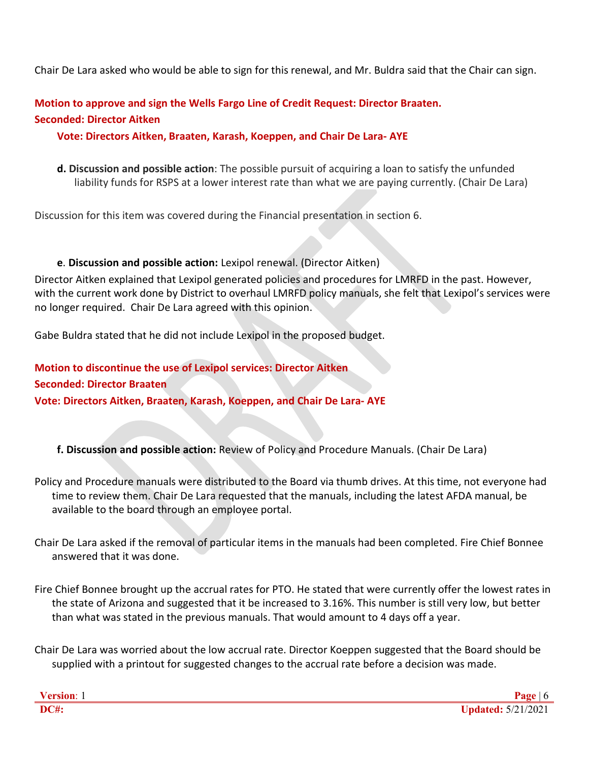Chair De Lara asked who would be able to sign for this renewal, and Mr. Buldra said that the Chair can sign.

# **Motion to approve and sign the Wells Fargo Line of Credit Request: Director Braaten. Seconded: Director Aitken**

# **Vote: Directors Aitken, Braaten, Karash, Koeppen, and Chair De Lara- AYE**

**d. Discussion and possible action**: The possible pursuit of acquiring a loan to satisfy the unfunded liability funds for RSPS at a lower interest rate than what we are paying currently. (Chair De Lara)

Discussion for this item was covered during the Financial presentation in section 6.

### **e**. **Discussion and possible action:** Lexipol renewal. (Director Aitken)

Director Aitken explained that Lexipol generated policies and procedures for LMRFD in the past. However, with the current work done by District to overhaul LMRFD policy manuals, she felt that Lexipol's services were no longer required. Chair De Lara agreed with this opinion.

Gabe Buldra stated that he did not include Lexipol in the proposed budget.

# **Motion to discontinue the use of Lexipol services: Director Aitken Seconded: Director Braaten Vote: Directors Aitken, Braaten, Karash, Koeppen, and Chair De Lara- AYE**

**f. Discussion and possible action:** Review of Policy and Procedure Manuals. (Chair De Lara)

Policy and Procedure manuals were distributed to the Board via thumb drives. At this time, not everyone had time to review them. Chair De Lara requested that the manuals, including the latest AFDA manual, be available to the board through an employee portal.

Chair De Lara asked if the removal of particular items in the manuals had been completed. Fire Chief Bonnee answered that it was done.

Fire Chief Bonnee brought up the accrual rates for PTO. He stated that were currently offer the lowest rates in the state of Arizona and suggested that it be increased to 3.16%. This number is still very low, but better than what was stated in the previous manuals. That would amount to 4 days off a year.

Chair De Lara was worried about the low accrual rate. Director Koeppen suggested that the Board should be supplied with a printout for suggested changes to the accrual rate before a decision was made.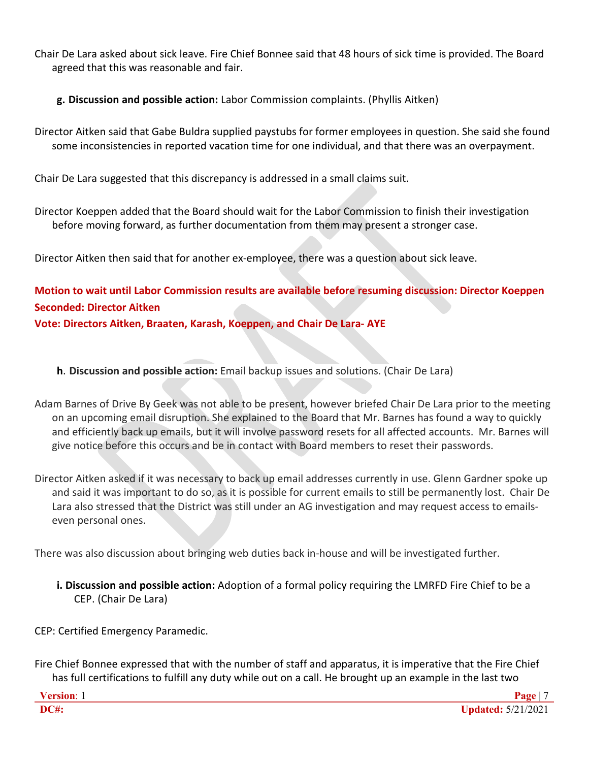Chair De Lara asked about sick leave. Fire Chief Bonnee said that 48 hours of sick time is provided. The Board agreed that this was reasonable and fair.

**g. Discussion and possible action:** Labor Commission complaints. (Phyllis Aitken)

Director Aitken said that Gabe Buldra supplied paystubs for former employees in question. She said she found some inconsistencies in reported vacation time for one individual, and that there was an overpayment.

Chair De Lara suggested that this discrepancy is addressed in a small claims suit.

Director Koeppen added that the Board should wait for the Labor Commission to finish their investigation before moving forward, as further documentation from them may present a stronger case.

Director Aitken then said that for another ex-employee, there was a question about sick leave.

**Motion to wait until Labor Commission results are available before resuming discussion: Director Koeppen Seconded: Director Aitken**

**Vote: Directors Aitken, Braaten, Karash, Koeppen, and Chair De Lara- AYE**

**h**. **Discussion and possible action:** Email backup issues and solutions. (Chair De Lara)

Adam Barnes of Drive By Geek was not able to be present, however briefed Chair De Lara prior to the meeting on an upcoming email disruption. She explained to the Board that Mr. Barnes has found a way to quickly and efficiently back up emails, but it will involve password resets for all affected accounts. Mr. Barnes will give notice before this occurs and be in contact with Board members to reset their passwords.

Director Aitken asked if it was necessary to back up email addresses currently in use. Glenn Gardner spoke up and said it was important to do so, as it is possible for current emails to still be permanently lost. Chair De Lara also stressed that the District was still under an AG investigation and may request access to emailseven personal ones.

There was also discussion about bringing web duties back in-house and will be investigated further.

**i. Discussion and possible action:** Adoption of a formal policy requiring the LMRFD Fire Chief to be a CEP. (Chair De Lara)

CEP: Certified Emergency Paramedic.

Fire Chief Bonnee expressed that with the number of staff and apparatus, it is imperative that the Fire Chief has full certifications to fulfill any duty while out on a call. He brought up an example in the last two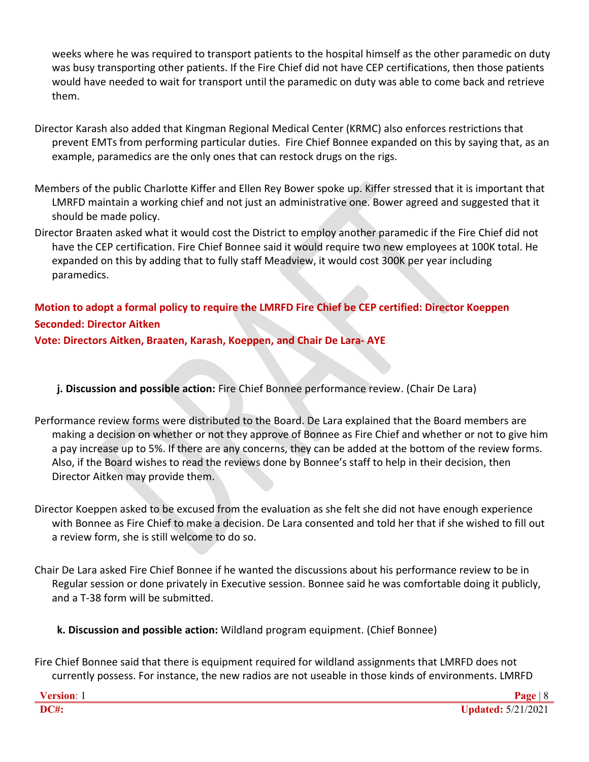weeks where he was required to transport patients to the hospital himself as the other paramedic on duty was busy transporting other patients. If the Fire Chief did not have CEP certifications, then those patients would have needed to wait for transport until the paramedic on duty was able to come back and retrieve them.

- Director Karash also added that Kingman Regional Medical Center (KRMC) also enforces restrictions that prevent EMTs from performing particular duties. Fire Chief Bonnee expanded on this by saying that, as an example, paramedics are the only ones that can restock drugs on the rigs.
- Members of the public Charlotte Kiffer and Ellen Rey Bower spoke up. Kiffer stressed that it is important that LMRFD maintain a working chief and not just an administrative one. Bower agreed and suggested that it should be made policy.
- Director Braaten asked what it would cost the District to employ another paramedic if the Fire Chief did not have the CEP certification. Fire Chief Bonnee said it would require two new employees at 100K total. He expanded on this by adding that to fully staff Meadview, it would cost 300K per year including paramedics.

# **Motion to adopt a formal policy to require the LMRFD Fire Chief be CEP certified: Director Koeppen Seconded: Director Aitken**

**Vote: Directors Aitken, Braaten, Karash, Koeppen, and Chair De Lara- AYE**

- **j. Discussion and possible action:** Fire Chief Bonnee performance review. (Chair De Lara)
- Performance review forms were distributed to the Board. De Lara explained that the Board members are making a decision on whether or not they approve of Bonnee as Fire Chief and whether or not to give him a pay increase up to 5%. If there are any concerns, they can be added at the bottom of the review forms. Also, if the Board wishes to read the reviews done by Bonnee's staff to help in their decision, then Director Aitken may provide them.
- Director Koeppen asked to be excused from the evaluation as she felt she did not have enough experience with Bonnee as Fire Chief to make a decision. De Lara consented and told her that if she wished to fill out a review form, she is still welcome to do so.
- Chair De Lara asked Fire Chief Bonnee if he wanted the discussions about his performance review to be in Regular session or done privately in Executive session. Bonnee said he was comfortable doing it publicly, and a T-38 form will be submitted.
	- **k. Discussion and possible action:** Wildland program equipment. (Chief Bonnee)
- Fire Chief Bonnee said that there is equipment required for wildland assignments that LMRFD does not currently possess. For instance, the new radios are not useable in those kinds of environments. LMRFD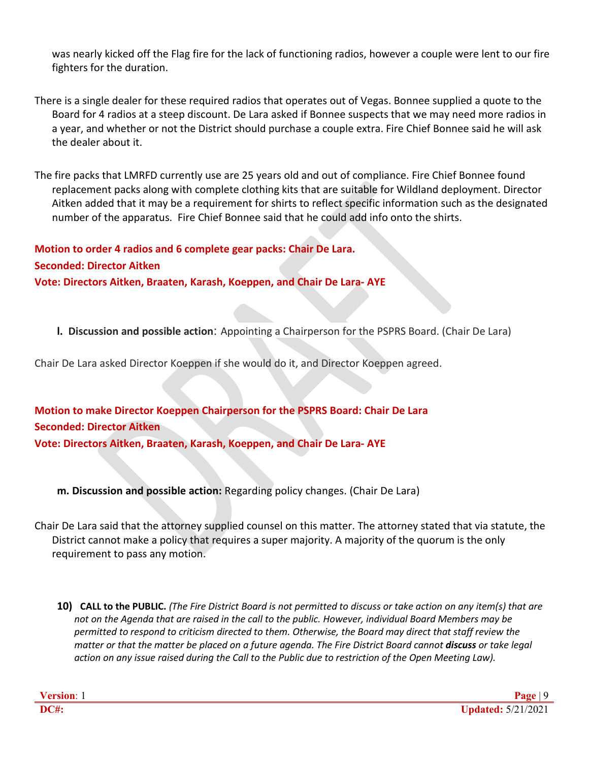was nearly kicked off the Flag fire for the lack of functioning radios, however a couple were lent to our fire fighters for the duration.

There is a single dealer for these required radios that operates out of Vegas. Bonnee supplied a quote to the Board for 4 radios at a steep discount. De Lara asked if Bonnee suspects that we may need more radios in a year, and whether or not the District should purchase a couple extra. Fire Chief Bonnee said he will ask the dealer about it.

The fire packs that LMRFD currently use are 25 years old and out of compliance. Fire Chief Bonnee found replacement packs along with complete clothing kits that are suitable for Wildland deployment. Director Aitken added that it may be a requirement for shirts to reflect specific information such as the designated number of the apparatus. Fire Chief Bonnee said that he could add info onto the shirts.

**Motion to order 4 radios and 6 complete gear packs: Chair De Lara. Seconded: Director Aitken Vote: Directors Aitken, Braaten, Karash, Koeppen, and Chair De Lara- AYE**

**l. Discussion and possible action**: Appointing a Chairperson for the PSPRS Board. (Chair De Lara)

Chair De Lara asked Director Koeppen if she would do it, and Director Koeppen agreed.

**Motion to make Director Koeppen Chairperson for the PSPRS Board: Chair De Lara Seconded: Director Aitken Vote: Directors Aitken, Braaten, Karash, Koeppen, and Chair De Lara- AYE**

**m. Discussion and possible action:** Regarding policy changes. (Chair De Lara)

Chair De Lara said that the attorney supplied counsel on this matter. The attorney stated that via statute, the District cannot make a policy that requires a super majority. A majority of the quorum is the only requirement to pass any motion.

10) CALL to the PUBLIC. (The Fire District Board is not permitted to discuss or take action on any item(s) that are *not on the Agenda that are raised in the call to the public. However, individual Board Members may be permitted to respond to criticism directed to them. Otherwise, the Board may direct that staff review the matter or that the matter be placed on a future agenda. The Fire District Board cannot discuss or take legal action on any issue raised during the Call to the Public due to restriction of the Open Meeting Law).*